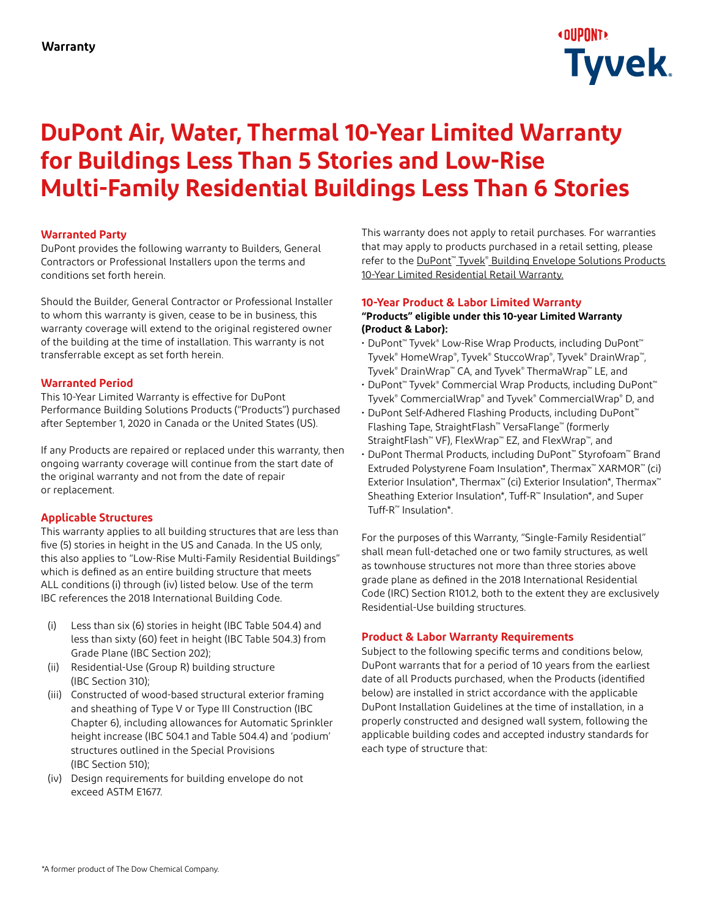

## **DuPont Air, Water, Thermal 10-Year Limited Warranty for Buildings Less Than 5 Stories and Low-Rise Multi-Family Residential Buildings Less Than 6 Stories**

#### **Warranted Party**

DuPont provides the following warranty to Builders, General Contractors or Professional Installers upon the terms and conditions set forth herein.

Should the Builder, General Contractor or Professional Installer to whom this warranty is given, cease to be in business, this warranty coverage will extend to the original registered owner of the building at the time of installation. This warranty is not transferrable except as set forth herein.

#### **Warranted Period**

This 10-Year Limited Warranty is effective for DuPont Performance Building Solutions Products ("Products") purchased after September 1, 2020 in Canada or the United States (US).

If any Products are repaired or replaced under this warranty, then ongoing warranty coverage will continue from the start date of the original warranty and not from the date of repair or replacement.

#### **Applicable Structures**

This warranty applies to all building structures that are less than five (5) stories in height in the US and Canada. In the US only, this also applies to "Low-Rise Multi-Family Residential Buildings" which is defined as an entire building structure that meets ALL conditions (i) through (iv) listed below. Use of the term IBC references the 2018 International Building Code.

- (i) Less than six (6) stories in height (IBC Table 504.4) and less than sixty (60) feet in height (IBC Table 504.3) from Grade Plane (IBC Section 202);
- (ii) Residential-Use (Group R) building structure (IBC Section 310);
- (iii) Constructed of wood-based structural exterior framing and sheathing of Type V or Type III Construction (IBC Chapter 6), including allowances for Automatic Sprinkler height increase (IBC 504.1 and Table 504.4) and 'podium' structures outlined in the Special Provisions (IBC Section 510);
- (iv) Design requirements for building envelope do not exceed ASTM E1677.

This warranty does not apply to retail purchases. For warranties that may apply to products purchased in a retail setting, please refer to the DuPont™ Tyvek® Building Envelope Solutions Products [10-Year Limited Residential Retail Warranty.](https://www.dupont.com/content/dam/dupont/amer/us/en/performance-building-solutions/public/documents/en/43-d100839-enna_weatherization_10-year_limited_residential_consumer_warranty.pdf)

#### **10-Year Product & Labor Limited Warranty "Products" eligible under this 10-year Limited Warranty (Product & Labor):**

- DuPont™ Tyvek® Low-Rise Wrap Products, including DuPont™ Tyvek® HomeWrap®, Tyvek® StuccoWrap®, Tyvek® DrainWrap™, Tyvek® DrainWrap™ CA, and Tyvek® ThermaWrap™ LE, and
- DuPont™ Tyvek® Commercial Wrap Products, including DuPont™ Tyvek® CommercialWrap® and Tyvek® CommercialWrap® D, and
- DuPont Self-Adhered Flashing Products, including DuPont™ Flashing Tape, StraightFlash™ VersaFlange™ (formerly StraightFlash™ VF), FlexWrap™ EZ, and FlexWrap™, and
- DuPont Thermal Products, including DuPont™ Styrofoam™ Brand Extruded Polystyrene Foam Insulation\*, Thermax™ XARMOR™ (ci) Exterior Insulation\*, Thermax™ (ci) Exterior Insulation\*, Thermax™ Sheathing Exterior Insulation\*, Tuff-R™ Insulation\*, and Super Tuff-R™ Insulation\*.

For the purposes of this Warranty, "Single-Family Residential" shall mean full-detached one or two family structures, as well as townhouse structures not more than three stories above grade plane as defined in the 2018 International Residential Code (IRC) Section R101.2, both to the extent they are exclusively Residential-Use building structures.

#### **Product & Labor Warranty Requirements**

Subject to the following specific terms and conditions below, DuPont warrants that for a period of 10 years from the earliest date of all Products purchased, when the Products (identified below) are installed in strict accordance with the applicable DuPont Installation Guidelines at the time of installation, in a properly constructed and designed wall system, following the applicable building codes and accepted industry standards for each type of structure that: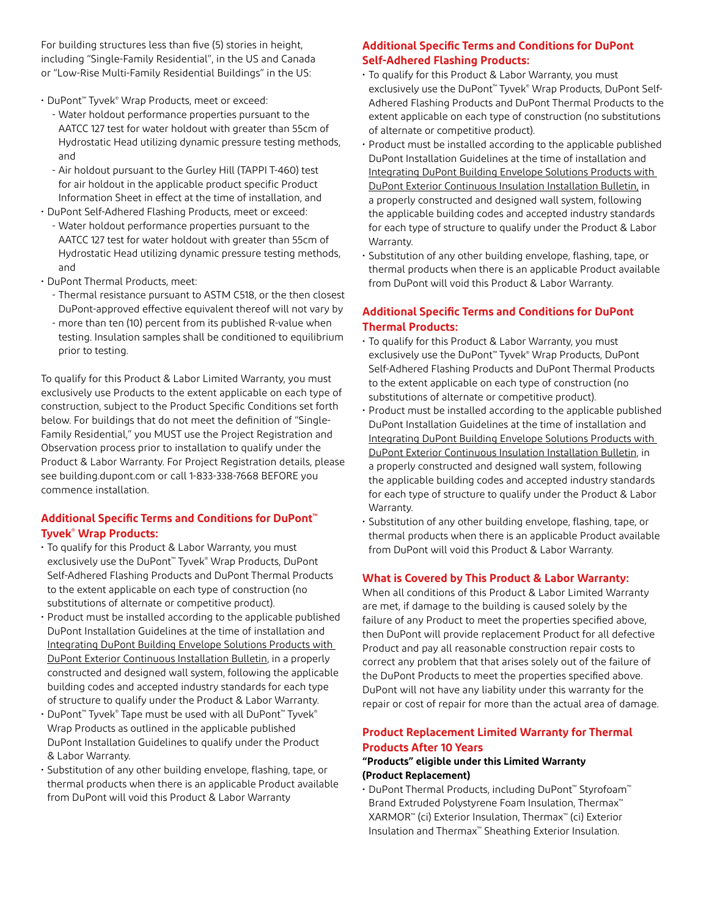For building structures less than five (5) stories in height, including "Single-Family Residential", in the US and Canada or "Low-Rise Multi-Family Residential Buildings" in the US:

- DuPont™ Tyvek® Wrap Products, meet or exceed:
	- Water holdout performance properties pursuant to the AATCC 127 test for water holdout with greater than 55cm of Hydrostatic Head utilizing dynamic pressure testing methods, and
	- Air holdout pursuant to the Gurley Hill (TAPPI T-460) test for air holdout in the applicable product specific Product Information Sheet in effect at the time of installation, and
- DuPont Self-Adhered Flashing Products, meet or exceed:
	- Water holdout performance properties pursuant to the AATCC 127 test for water holdout with greater than 55cm of Hydrostatic Head utilizing dynamic pressure testing methods, and
- DuPont Thermal Products, meet:
	- Thermal resistance pursuant to ASTM C518, or the then closest DuPont-approved effective equivalent thereof will not vary by
	- more than ten (10) percent from its published R-value when testing. Insulation samples shall be conditioned to equilibrium prior to testing.

To qualify for this Product & Labor Limited Warranty, you must exclusively use Products to the extent applicable on each type of construction, subject to the Product Specific Conditions set forth below. For buildings that do not meet the definition of "Single-Family Residential," you MUST use the Project Registration and Observation process prior to installation to qualify under the Product & Labor Warranty. For Project Registration details, please see building.dupont.com or call 1-833-338-7668 BEFORE you commence installation.

#### **Additional Specific Terms and Conditions for DuPont™ Tyvek® Wrap Products:**

- To qualify for this Product & Labor Warranty, you must exclusively use the DuPont™ Tyvek® Wrap Products, DuPont Self-Adhered Flashing Products and DuPont Thermal Products to the extent applicable on each type of construction (no substitutions of alternate or competitive product).
- Product must be installed according to the applicable published DuPont Installation Guidelines at the time of installation and [Integrating DuPont Building Envelope Solutions Products with](https://www.dupont.com/content/dam/dupont/amer/us/en/performance-building-solutions/public/documents/en/tyvek-with-exterior-continuous-insulation-install-bulletin-43-D100477-enUS.pdf)  [DuPont Exterior Continuous Installation Bulletin,](https://www.dupont.com/content/dam/dupont/amer/us/en/performance-building-solutions/public/documents/en/tyvek-with-exterior-continuous-insulation-install-bulletin-43-D100477-enUS.pdf) in a properly constructed and designed wall system, following the applicable building codes and accepted industry standards for each type of structure to qualify under the Product & Labor Warranty.
- DuPont™ Tyvek® Tape must be used with all DuPont™ Tyvek® Wrap Products as outlined in the applicable published DuPont Installation Guidelines to qualify under the Product & Labor Warranty.
- Substitution of any other building envelope, flashing, tape, or thermal products when there is an applicable Product available from DuPont will void this Product & Labor Warranty

## **Additional Specific Terms and Conditions for DuPont Self-Adhered Flashing Products:**

- To qualify for this Product & Labor Warranty, you must exclusively use the DuPont™ Tyvek® Wrap Products, DuPont Self-Adhered Flashing Products and DuPont Thermal Products to the extent applicable on each type of construction (no substitutions of alternate or competitive product).
- Product must be installed according to the applicable published DuPont Installation Guidelines at the time of installation and [Integrating DuPont Building Envelope Solutions Products with](https://www.dupont.com/content/dam/dupont/amer/us/en/performance-building-solutions/public/documents/en/tyvek-with-exterior-continuous-insulation-install-bulletin-43-D100477-enUS.pdf)  [DuPont Exterior Continuous Insulation Installation Bulletin,](https://www.dupont.com/content/dam/dupont/amer/us/en/performance-building-solutions/public/documents/en/tyvek-with-exterior-continuous-insulation-install-bulletin-43-D100477-enUS.pdf) in a properly constructed and designed wall system, following the applicable building codes and accepted industry standards for each type of structure to qualify under the Product & Labor Warranty.
- Substitution of any other building envelope, flashing, tape, or thermal products when there is an applicable Product available from DuPont will void this Product & Labor Warranty.

## **Additional Specific Terms and Conditions for DuPont Thermal Products:**

- To qualify for this Product & Labor Warranty, you must exclusively use the DuPont™ Tyvek® Wrap Products, DuPont Self-Adhered Flashing Products and DuPont Thermal Products to the extent applicable on each type of construction (no substitutions of alternate or competitive product).
- Product must be installed according to the applicable published DuPont Installation Guidelines at the time of installation and [Integrating DuPont Building Envelope Solutions Products with](https://www.dupont.com/content/dam/dupont/amer/us/en/performance-building-solutions/public/documents/en/tyvek-with-exterior-continuous-insulation-install-bulletin-43-D100477-enUS.pdf)  [DuPont Exterior Continuous Insulation Installation Bulletin,](https://www.dupont.com/content/dam/dupont/amer/us/en/performance-building-solutions/public/documents/en/tyvek-with-exterior-continuous-insulation-install-bulletin-43-D100477-enUS.pdf) in a properly constructed and designed wall system, following the applicable building codes and accepted industry standards for each type of structure to qualify under the Product & Labor Warranty.
- Substitution of any other building envelope, flashing, tape, or thermal products when there is an applicable Product available from DuPont will void this Product & Labor Warranty.

## **What is Covered by This Product & Labor Warranty:**

When all conditions of this Product & Labor Limited Warranty are met, if damage to the building is caused solely by the failure of any Product to meet the properties specified above, then DuPont will provide replacement Product for all defective Product and pay all reasonable construction repair costs to correct any problem that that arises solely out of the failure of the DuPont Products to meet the properties specified above. DuPont will not have any liability under this warranty for the repair or cost of repair for more than the actual area of damage.

## **Product Replacement Limited Warranty for Thermal Products After 10 Years**

#### **"Products" eligible under this Limited Warranty (Product Replacement)**

• DuPont Thermal Products, including DuPont™ Styrofoam™ Brand Extruded Polystyrene Foam Insulation, Thermax™ XARMOR™ (ci) Exterior Insulation, Thermax™ (ci) Exterior Insulation and Thermax™ Sheathing Exterior Insulation.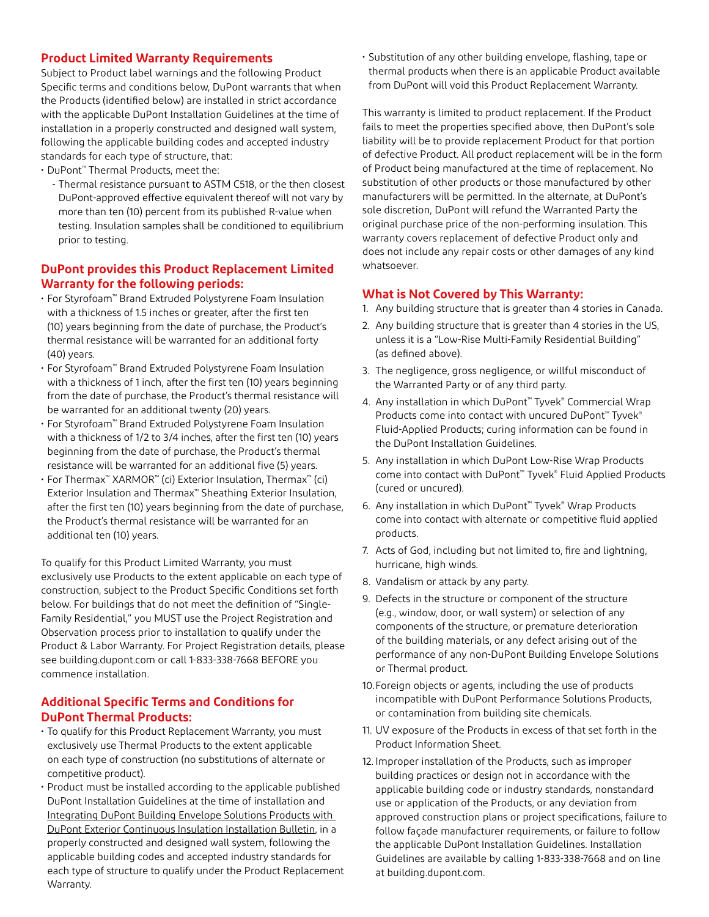#### **Product Limited Warranty Requirements**

Subject to Product label warnings and the following Product Specific terms and conditions below, DuPont warrants that when the Products (identified below) are installed in strict accordance with the applicable DuPont Installation Guidelines at the time of installation in a properly constructed and designed wall system, following the applicable building codes and accepted industry standards for each type of structure, that:

• DuPont™ Thermal Products, meet the:

- Thermal resistance pursuant to ASTM C518, or the then closest DuPont-approved effective equivalent thereof will not vary by more than ten (10) percent from its published R-value when testing. Insulation samples shall be conditioned to equilibrium prior to testing.

#### **DuPont provides this Product Replacement Limited Warranty for the following periods:**

- For Styrofoam™ Brand Extruded Polystyrene Foam Insulation with a thickness of 1.5 inches or greater, after the first ten (10) years beginning from the date of purchase, the Product's thermal resistance will be warranted for an additional forty (40) years.
- For Styrofoam™ Brand Extruded Polystyrene Foam Insulation with a thickness of 1 inch, after the first ten (10) years beginning from the date of purchase, the Product's thermal resistance will be warranted for an additional twenty (20) years.
- For Styrofoam™ Brand Extruded Polystyrene Foam Insulation with a thickness of 1/2 to 3/4 inches, after the first ten (10) years beginning from the date of purchase, the Product's thermal resistance will be warranted for an additional five (5) years.
- For Thermax™ XARMOR™ (ci) Exterior Insulation, Thermax™ (ci) Exterior Insulation and Thermax™ Sheathing Exterior Insulation, after the first ten (10) years beginning from the date of purchase, the Product's thermal resistance will be warranted for an additional ten (10) years.

To qualify for this Product Limited Warranty, you must exclusively use Products to the extent applicable on each type of construction, subject to the Product Specific Conditions set forth below. For buildings that do not meet the definition of "Single-Family Residential," you MUST use the Project Registration and Observation process prior to installation to qualify under the Product & Labor Warranty. For Project Registration details, please see building.dupont.com or call 1-833-338-7668 BEFORE you commence installation.

#### **Additional Specific Terms and Conditions for DuPont Thermal Products:**

- To qualify for this Product Replacement Warranty, you must exclusively use Thermal Products to the extent applicable on each type of construction (no substitutions of alternate or competitive product).
- Product must be installed according to the applicable published DuPont Installation Guidelines at the time of installation and [Integrating DuPont Building Envelope Solutions Products with](https://www.dupont.com/content/dam/dupont/amer/us/en/performance-building-solutions/public/documents/en/tyvek-with-exterior-continuous-insulation-install-bulletin-43-D100477-enUS.pdf)  [DuPont Exterior Continuous Insulation Installation Bulletin](https://www.dupont.com/content/dam/dupont/amer/us/en/performance-building-solutions/public/documents/en/tyvek-with-exterior-continuous-insulation-install-bulletin-43-D100477-enUS.pdf), in a properly constructed and designed wall system, following the applicable building codes and accepted industry standards for each type of structure to qualify under the Product Replacement Warranty.

• Substitution of any other building envelope, flashing, tape or thermal products when there is an applicable Product available from DuPont will void this Product Replacement Warranty.

This warranty is limited to product replacement. If the Product fails to meet the properties specified above, then DuPont's sole liability will be to provide replacement Product for that portion of defective Product. All product replacement will be in the form of Product being manufactured at the time of replacement. No substitution of other products or those manufactured by other manufacturers will be permitted. In the alternate, at DuPont's sole discretion, DuPont will refund the Warranted Party the original purchase price of the non-performing insulation. This warranty covers replacement of defective Product only and does not include any repair costs or other damages of any kind whatsoever.

#### **What is Not Covered by This Warranty:**

- 1. Any building structure that is greater than 4 stories in Canada.
- 2. Any building structure that is greater than 4 stories in the US, unless it is a "Low-Rise Multi-Family Residential Building" (as defined above).
- 3. The negligence, gross negligence, or willful misconduct of the Warranted Party or of any third party.
- 4. Any installation in which DuPont™ Tyvek® Commercial Wrap Products come into contact with uncured DuPont™ Tyvek® Fluid-Applied Products; curing information can be found in the DuPont Installation Guidelines.
- 5. Any installation in which DuPont Low-Rise Wrap Products come into contact with DuPont™ Tyvek® Fluid Applied Products (cured or uncured).
- 6. Any installation in which DuPont™ Tyvek® Wrap Products come into contact with alternate or competitive fluid applied products.
- 7. Acts of God, including but not limited to, fire and lightning, hurricane, high winds.
- 8. Vandalism or attack by any party.
- 9. Defects in the structure or component of the structure (e.g., window, door, or wall system) or selection of any components of the structure, or premature deterioration of the building materials, or any defect arising out of the performance of any non-DuPont Building Envelope Solutions or Thermal product.
- 10.Foreign objects or agents, including the use of products incompatible with DuPont Performance Solutions Products, or contamination from building site chemicals.
- 11. UV exposure of the Products in excess of that set forth in the Product Information Sheet.
- 12. Improper installation of the Products, such as improper building practices or design not in accordance with the applicable building code or industry standards, nonstandard use or application of the Products, or any deviation from approved construction plans or project specifications, failure to follow façade manufacturer requirements, or failure to follow the applicable DuPont Installation Guidelines. Installation Guidelines are available by calling 1-833-338-7668 and on line at building.dupont.com.